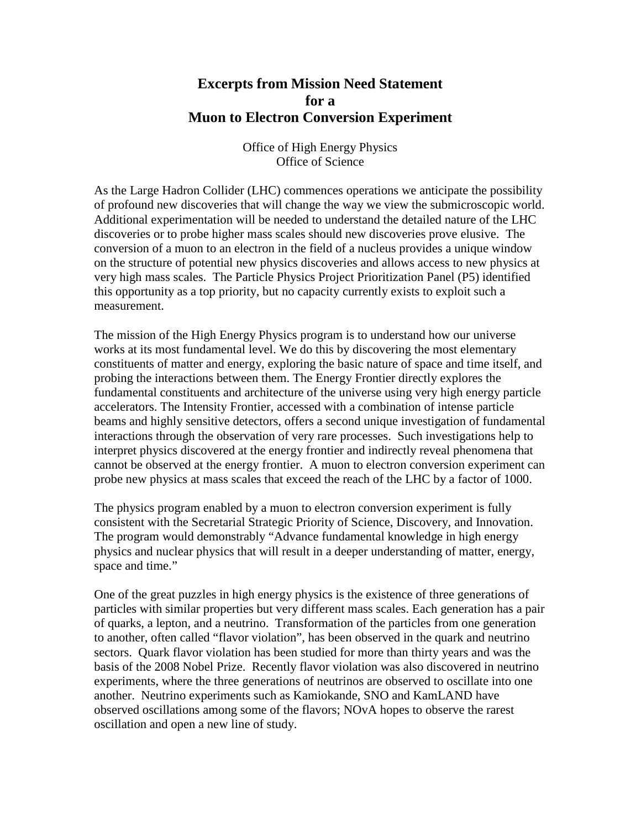## **Excerpts from Mission Need Statement for a Muon to Electron Conversion Experiment**

Office of High Energy Physics Office of Science

As the Large Hadron Collider (LHC) commences operations we anticipate the possibility of profound new discoveries that will change the way we view the submicroscopic world. Additional experimentation will be needed to understand the detailed nature of the LHC discoveries or to probe higher mass scales should new discoveries prove elusive. The conversion of a muon to an electron in the field of a nucleus provides a unique window on the structure of potential new physics discoveries and allows access to new physics at very high mass scales. The Particle Physics Project Prioritization Panel (P5) identified this opportunity as a top priority, but no capacity currently exists to exploit such a measurement.

The mission of the High Energy Physics program is to understand how our universe works at its most fundamental level. We do this by discovering the most elementary constituents of matter and energy, exploring the basic nature of space and time itself, and probing the interactions between them. The Energy Frontier directly explores the fundamental constituents and architecture of the universe using very high energy particle accelerators. The Intensity Frontier, accessed with a combination of intense particle beams and highly sensitive detectors, offers a second unique investigation of fundamental interactions through the observation of very rare processes. Such investigations help to interpret physics discovered at the energy frontier and indirectly reveal phenomena that cannot be observed at the energy frontier. A muon to electron conversion experiment can probe new physics at mass scales that exceed the reach of the LHC by a factor of 1000.

The physics program enabled by a muon to electron conversion experiment is fully consistent with the Secretarial Strategic Priority of Science, Discovery, and Innovation. The program would demonstrably "Advance fundamental knowledge in high energy physics and nuclear physics that will result in a deeper understanding of matter, energy, space and time."

One of the great puzzles in high energy physics is the existence of three generations of particles with similar properties but very different mass scales. Each generation has a pair of quarks, a lepton, and a neutrino. Transformation of the particles from one generation to another, often called "flavor violation", has been observed in the quark and neutrino sectors. Quark flavor violation has been studied for more than thirty years and was the basis of the 2008 Nobel Prize. Recently flavor violation was also discovered in neutrino experiments, where the three generations of neutrinos are observed to oscillate into one another. Neutrino experiments such as Kamiokande, SNO and KamLAND have observed oscillations among some of the flavors; NOvA hopes to observe the rarest oscillation and open a new line of study.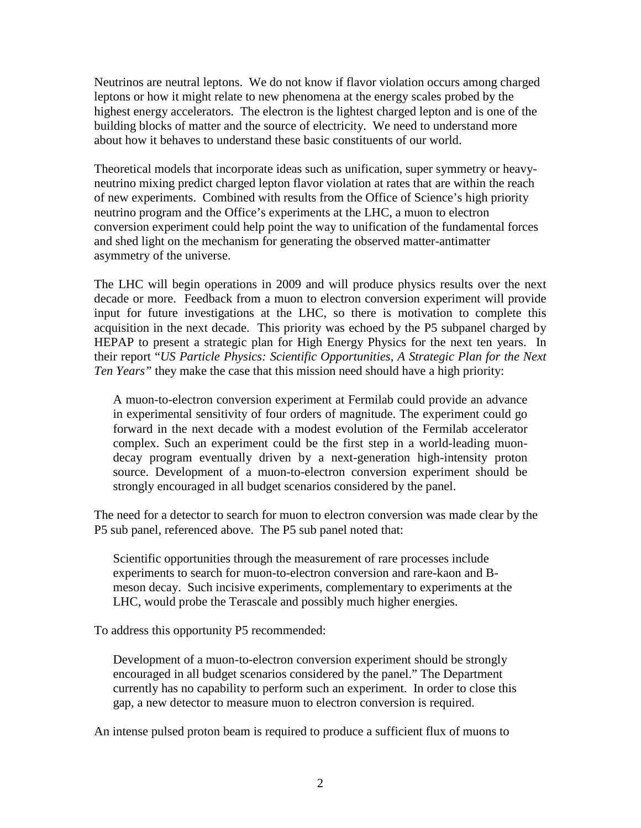Neutrinos are neutral leptons. We do not know if flavor violation occurs among charged leptons or how it might relate to new phenomena at the energy scales probed by the highest energy accelerators. The electron is the lightest charged lepton and is one of the building blocks of matter and the source of electricity. We need to understand more about how it behaves to understand these basic constituents of our world.

Theoretical models that incorporate ideas such as unification, super symmetry or heavyneutrino mixing predict charged lepton flavor violation at rates that are within the reach of new experiments. Combined with results from the Office of Science's high priority neutrino program and the Office's experiments at the LHC, a muon to electron conversion experiment could help point the way to unification of the fundamental forces and shed light on the mechanism for generating the observed matter-antimatter asymmetry of the universe.

The LHC will begin operations in 2009 and will produce physics results over the next decade or more. Feedback from a muon to electron conversion experiment will provide input for future investigations at the LHC, so there is motivation to complete this acquisition in the next decade. This priority was echoed by the P5 subpanel charged by HEPAP to present a strategic plan for High Energy Physics for the next ten years. In their report "*US Particle Physics: Scientific Opportunities, A Strategic Plan for the Next Ten Years"* they make the case that this mission need should have a high priority:

A muon-to-electron conversion experiment at Fermilab could provide an advance in experimental sensitivity of four orders of magnitude. The experiment could go forward in the next decade with a modest evolution of the Fermilab accelerator complex. Such an experiment could be the first step in a world-leading muondecay program eventually driven by a next-generation high-intensity proton source. Development of a muon-to-electron conversion experiment should be strongly encouraged in all budget scenarios considered by the panel.

The need for a detector to search for muon to electron conversion was made clear by the P5 sub panel, referenced above. The P5 sub panel noted that:

Scientific opportunities through the measurement of rare processes include experiments to search for muon-to-electron conversion and rare-kaon and Bmeson decay. Such incisive experiments, complementary to experiments at the LHC, would probe the Terascale and possibly much higher energies.

To address this opportunity P5 recommended:

Development of a muon-to-electron conversion experiment should be strongly encouraged in all budget scenarios considered by the panel." The Department currently has no capability to perform such an experiment. In order to close this gap, a new detector to measure muon to electron conversion is required.

An intense pulsed proton beam is required to produce a sufficient flux of muons to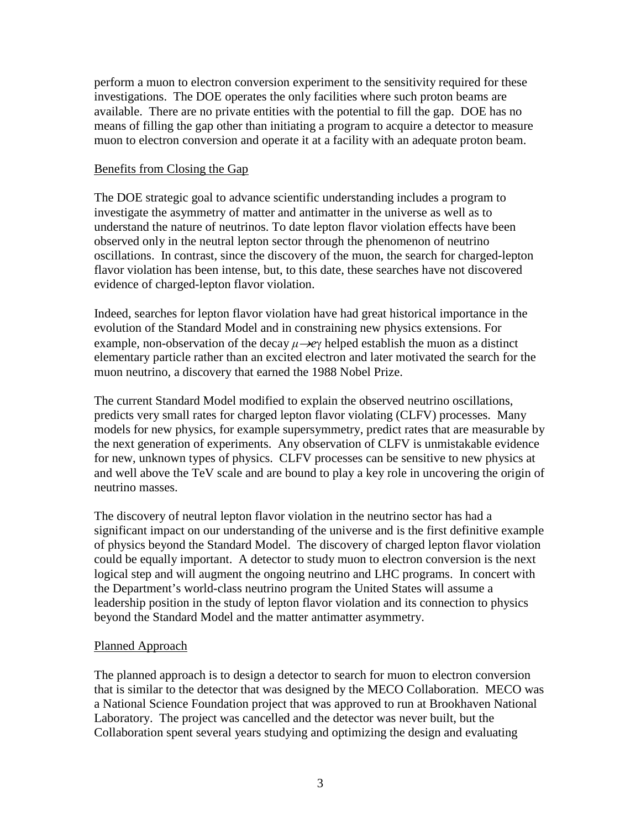perform a muon to electron conversion experiment to the sensitivity required for these investigations. The DOE operates the only facilities where such proton beams are available. There are no private entities with the potential to fill the gap. DOE has no means of filling the gap other than initiating a program to acquire a detector to measure muon to electron conversion and operate it at a facility with an adequate proton beam.

## Benefits from Closing the Gap

The DOE strategic goal to advance scientific understanding includes a program to investigate the asymmetry of matter and antimatter in the universe as well as to understand the nature of neutrinos. To date lepton flavor violation effects have been observed only in the neutral lepton sector through the phenomenon of neutrino oscillations. In contrast, since the discovery of the muon, the search for charged-lepton flavor violation has been intense, but, to this date, these searches have not discovered evidence of charged-lepton flavor violation.

Indeed, searches for lepton flavor violation have had great historical importance in the evolution of the Standard Model and in constraining new physics extensions. For example, non-observation of the decay  $\mu \rightarrow e\gamma$  helped establish the muon as a distinct elementary particle rather than an excited electron and later motivated the search for the muon neutrino, a discovery that earned the 1988 Nobel Prize.

The current Standard Model modified to explain the observed neutrino oscillations, predicts very small rates for charged lepton flavor violating (CLFV) processes. Many models for new physics, for example supersymmetry, predict rates that are measurable by the next generation of experiments. Any observation of CLFV is unmistakable evidence for new, unknown types of physics. CLFV processes can be sensitive to new physics at and well above the TeV scale and are bound to play a key role in uncovering the origin of neutrino masses.

The discovery of neutral lepton flavor violation in the neutrino sector has had a significant impact on our understanding of the universe and is the first definitive example of physics beyond the Standard Model. The discovery of charged lepton flavor violation could be equally important. A detector to study muon to electron conversion is the next logical step and will augment the ongoing neutrino and LHC programs. In concert with the Department's world-class neutrino program the United States will assume a leadership position in the study of lepton flavor violation and its connection to physics beyond the Standard Model and the matter antimatter asymmetry.

## Planned Approach

The planned approach is to design a detector to search for muon to electron conversion that is similar to the detector that was designed by the MECO Collaboration. MECO was a National Science Foundation project that was approved to run at Brookhaven National Laboratory. The project was cancelled and the detector was never built, but the Collaboration spent several years studying and optimizing the design and evaluating